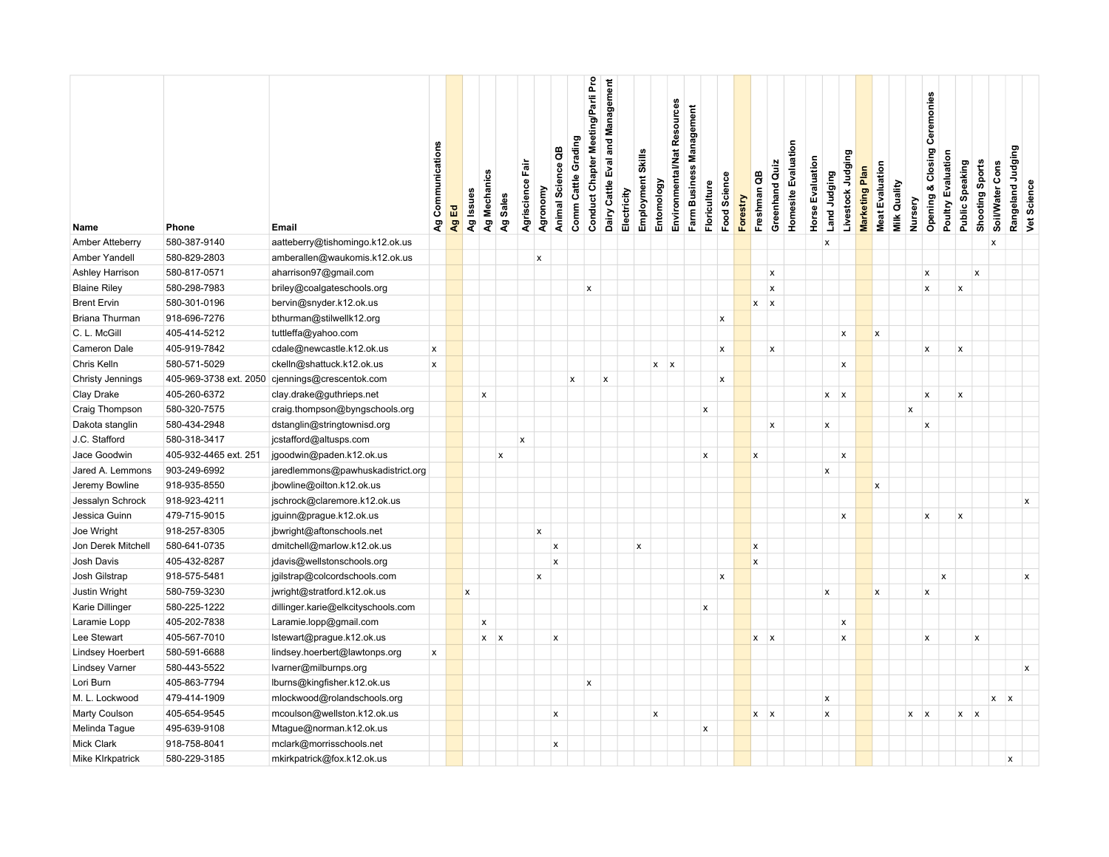| Name                    | Phone                  | Email                              | Ag Communications  | Ag Ed | Ag Issues    | Ag Mechanics              | Ag Sales                  | Agriscience Fair | Agronomy       | Animal Science QB         | Comm Cattle Grading       | Conduct Chapter Meeting/Parli Pro | Dairy Cattle Eval and Management | Employment Skills<br>Electricity | Entomology       | Environmental/Nat Resources | Farm Business Management | Floriculture              | Food Science              | Forestry | Greenhand Quiz<br>Freshman QB | <b>Homesite Evaluation</b> | Horse Evaluation          | Livestock Judging<br>Land Judging | Marketing Plan | <b>Meat Evaluation</b> | <b>Milk Quality</b> | Nursery        | Opening & Closing Ceremonies       | Poultry Evaluation        | Public Speaking           | Shooting Sports           | Soil/Water Cons | Rangeland Judging | Vet Science               |
|-------------------------|------------------------|------------------------------------|--------------------|-------|--------------|---------------------------|---------------------------|------------------|----------------|---------------------------|---------------------------|-----------------------------------|----------------------------------|----------------------------------|------------------|-----------------------------|--------------------------|---------------------------|---------------------------|----------|-------------------------------|----------------------------|---------------------------|-----------------------------------|----------------|------------------------|---------------------|----------------|------------------------------------|---------------------------|---------------------------|---------------------------|-----------------|-------------------|---------------------------|
| Amber Atteberry         | 580-387-9140           | aatteberry@tishomingo.k12.ok.us    |                    |       |              |                           |                           |                  |                |                           |                           |                                   |                                  |                                  |                  |                             |                          |                           |                           |          |                               |                            | $\boldsymbol{\mathsf{x}}$ |                                   |                |                        |                     |                |                                    |                           |                           |                           |                 |                   |                           |
| Amber Yandell           | 580-829-2803           |                                    |                    |       |              |                           |                           |                  | $\pmb{\times}$ |                           |                           |                                   |                                  |                                  |                  |                             |                          |                           |                           |          |                               |                            |                           |                                   |                |                        |                     |                |                                    |                           |                           |                           | x               |                   |                           |
|                         |                        | amberallen@waukomis.k12.ok.us      |                    |       |              |                           |                           |                  |                |                           |                           |                                   |                                  |                                  |                  |                             |                          |                           |                           |          |                               |                            |                           |                                   |                |                        |                     |                |                                    |                           |                           |                           |                 |                   |                           |
| Ashley Harrison         | 580-817-0571           | aharrison97@gmail.com              |                    |       |              |                           |                           |                  |                |                           |                           |                                   |                                  |                                  |                  |                             |                          |                           |                           |          | X                             |                            |                           |                                   |                |                        |                     |                | $\pmb{\mathsf{x}}$<br>$\mathsf{x}$ |                           | $\mathsf{x}$              | $\boldsymbol{x}$          |                 |                   |                           |
| <b>Blaine Riley</b>     | 580-298-7983           | briley@coalgateschools.org         |                    |       |              |                           |                           |                  |                |                           |                           | $\pmb{\times}$                    |                                  |                                  |                  |                             |                          |                           |                           |          | X                             |                            |                           |                                   |                |                        |                     |                |                                    |                           |                           |                           |                 |                   |                           |
| <b>Brent Ervin</b>      | 580-301-0196           | bervin@snyder.k12.ok.us            |                    |       |              |                           |                           |                  |                |                           |                           |                                   |                                  |                                  |                  |                             |                          |                           |                           |          | $x \mid x$                    |                            |                           |                                   |                |                        |                     |                |                                    |                           |                           |                           |                 |                   |                           |
| Briana Thurman          | 918-696-7276           | bthurman@stilwellk12.org           |                    |       |              |                           |                           |                  |                |                           |                           |                                   |                                  |                                  |                  |                             |                          |                           | $\boldsymbol{\mathsf{x}}$ |          |                               |                            |                           |                                   |                |                        |                     |                |                                    |                           |                           |                           |                 |                   |                           |
| C. L. McGill            | 405-414-5212           | tuttleffa@yahoo.com                |                    |       |              |                           |                           |                  |                |                           |                           |                                   |                                  |                                  |                  |                             |                          |                           |                           |          |                               |                            |                           | x                                 |                | x                      |                     |                |                                    |                           |                           |                           |                 |                   |                           |
| Cameron Dale            | 405-919-7842           | cdale@newcastle.k12.ok.us          | $\pmb{\mathsf{x}}$ |       |              |                           |                           |                  |                |                           |                           |                                   |                                  |                                  |                  |                             |                          |                           | $\pmb{\mathsf{x}}$        |          | X                             |                            |                           |                                   |                |                        |                     |                | $\pmb{\mathsf{x}}$                 |                           | $\pmb{\mathsf{x}}$        |                           |                 |                   |                           |
| Chris Kelln             | 580-571-5029           | ckelln@shattuck.k12.ok.us          | x                  |       |              |                           |                           |                  |                |                           |                           |                                   |                                  |                                  |                  | $x \mid x$                  |                          |                           |                           |          |                               |                            |                           | x                                 |                |                        |                     |                |                                    |                           |                           |                           |                 |                   |                           |
| <b>Christy Jennings</b> | 405-969-3738 ext. 2050 | cjennings@crescentok.com           |                    |       |              |                           |                           |                  |                |                           | $\boldsymbol{\mathsf{x}}$ |                                   | x                                |                                  |                  |                             |                          |                           | $\boldsymbol{x}$          |          |                               |                            |                           |                                   |                |                        |                     |                |                                    |                           |                           |                           |                 |                   |                           |
| Clay Drake              | 405-260-6372           | clay.drake@guthrieps.net           |                    |       |              | $\pmb{\times}$            |                           |                  |                |                           |                           |                                   |                                  |                                  |                  |                             |                          |                           |                           |          |                               |                            |                           | $x \mid x$                        |                |                        |                     |                | $\pmb{\times}$                     |                           | $\mathsf{x}$              |                           |                 |                   |                           |
| Craig Thompson          | 580-320-7575           | craig.thompson@byngschools.org     |                    |       |              |                           |                           |                  |                |                           |                           |                                   |                                  |                                  |                  |                             |                          | $\pmb{\times}$            |                           |          |                               |                            |                           |                                   |                |                        |                     | $\pmb{\times}$ |                                    |                           |                           |                           |                 |                   |                           |
| Dakota stanglin         | 580-434-2948           | dstanglin@stringtownisd.org        |                    |       |              |                           |                           |                  |                |                           |                           |                                   |                                  |                                  |                  |                             |                          |                           |                           |          | x                             |                            |                           | $\mathsf{x}$                      |                |                        |                     |                | x                                  |                           |                           |                           |                 |                   |                           |
| J.C. Stafford           | 580-318-3417           | jcstafford@altusps.com             |                    |       |              |                           |                           | $\boldsymbol{x}$ |                |                           |                           |                                   |                                  |                                  |                  |                             |                          |                           |                           |          |                               |                            |                           |                                   |                |                        |                     |                |                                    |                           |                           |                           |                 |                   |                           |
| Jace Goodwin            | 405-932-4465 ext. 251  | jgoodwin@paden.k12.ok.us           |                    |       |              |                           | $\boldsymbol{\mathsf{x}}$ |                  |                |                           |                           |                                   |                                  |                                  |                  |                             |                          | $\pmb{\mathsf{x}}$        |                           | x        |                               |                            |                           | X                                 |                |                        |                     |                |                                    |                           |                           |                           |                 |                   |                           |
| Jared A. Lemmons        | 903-249-6992           | jaredlemmons@pawhuskadistrict.org  |                    |       |              |                           |                           |                  |                |                           |                           |                                   |                                  |                                  |                  |                             |                          |                           |                           |          |                               |                            |                           | $\boldsymbol{\mathsf{x}}$         |                |                        |                     |                |                                    |                           |                           |                           |                 |                   |                           |
| Jeremy Bowline          | 918-935-8550           | jbowline@oilton.k12.ok.us          |                    |       |              |                           |                           |                  |                |                           |                           |                                   |                                  |                                  |                  |                             |                          |                           |                           |          |                               |                            |                           |                                   |                | x                      |                     |                |                                    |                           |                           |                           |                 |                   |                           |
| Jessalyn Schrock        | 918-923-4211           | jschrock@claremore.k12.ok.us       |                    |       |              |                           |                           |                  |                |                           |                           |                                   |                                  |                                  |                  |                             |                          |                           |                           |          |                               |                            |                           |                                   |                |                        |                     |                |                                    |                           |                           |                           |                 |                   | $\pmb{\times}$            |
| Jessica Guinn           | 479-715-9015           | jguinn@prague.k12.ok.us            |                    |       |              |                           |                           |                  |                |                           |                           |                                   |                                  |                                  |                  |                             |                          |                           |                           |          |                               |                            |                           | X                                 |                |                        |                     |                | $\pmb{\mathsf{x}}$                 |                           | $\boldsymbol{\mathsf{x}}$ |                           |                 |                   |                           |
| Joe Wright              | 918-257-8305           | jbwright@aftonschools.net          |                    |       |              |                           |                           |                  | $\pmb{\times}$ |                           |                           |                                   |                                  |                                  |                  |                             |                          |                           |                           |          |                               |                            |                           |                                   |                |                        |                     |                |                                    |                           |                           |                           |                 |                   |                           |
| Jon Derek Mitchell      | 580-641-0735           | dmitchell@marlow.k12.ok.us         |                    |       |              |                           |                           |                  |                | $\pmb{\mathsf{x}}$        |                           |                                   |                                  | X                                |                  |                             |                          |                           |                           |          | X                             |                            |                           |                                   |                |                        |                     |                |                                    |                           |                           |                           |                 |                   |                           |
| Josh Davis              | 405-432-8287           | jdavis@wellstonschools.org         |                    |       |              |                           |                           |                  |                | $\boldsymbol{\mathsf{x}}$ |                           |                                   |                                  |                                  |                  |                             |                          |                           |                           | X        |                               |                            |                           |                                   |                |                        |                     |                |                                    |                           |                           |                           |                 |                   |                           |
| Josh Gilstrap           | 918-575-5481           | jgilstrap@colcordschools.com       |                    |       |              |                           |                           |                  | $\pmb{\times}$ |                           |                           |                                   |                                  |                                  |                  |                             |                          | $\mathbf x$               |                           |          |                               |                            |                           |                                   |                |                        |                     |                |                                    | $\boldsymbol{\mathsf{x}}$ |                           |                           |                 |                   | $\boldsymbol{\mathsf{x}}$ |
| Justin Wright           | 580-759-3230           | jwright@stratford.k12.ok.us        |                    |       | $\mathbf{x}$ |                           |                           |                  |                |                           |                           |                                   |                                  |                                  |                  |                             |                          |                           |                           |          |                               |                            |                           | $\mathsf{x}$                      |                | x                      |                     |                | $\boldsymbol{\mathsf{x}}$          |                           |                           |                           |                 |                   |                           |
| Karie Dillinger         | 580-225-1222           | dillinger.karie@elkcityschools.com |                    |       |              |                           |                           |                  |                |                           |                           |                                   |                                  |                                  |                  |                             |                          | X                         |                           |          |                               |                            |                           |                                   |                |                        |                     |                |                                    |                           |                           |                           |                 |                   |                           |
| Laramie Lopp            | 405-202-7838           | Laramie.lopp@gmail.com             |                    |       |              | $\boldsymbol{\mathsf{x}}$ |                           |                  |                |                           |                           |                                   |                                  |                                  |                  |                             |                          |                           |                           |          |                               |                            |                           | X                                 |                |                        |                     |                |                                    |                           |                           |                           |                 |                   |                           |
| Lee Stewart             | 405-567-7010           | Istewart@prague.k12.ok.us          |                    |       |              | $x \mid x$                |                           |                  |                | $\boldsymbol{x}$          |                           |                                   |                                  |                                  |                  |                             |                          |                           |                           |          | $x \mid x$                    |                            |                           | x                                 |                |                        |                     |                | $\mathsf{x}$                       |                           |                           | $\boldsymbol{\mathsf{x}}$ |                 |                   |                           |
| <b>Lindsey Hoerbert</b> | 580-591-6688           | lindsey.hoerbert@lawtonps.org      | x                  |       |              |                           |                           |                  |                |                           |                           |                                   |                                  |                                  |                  |                             |                          |                           |                           |          |                               |                            |                           |                                   |                |                        |                     |                |                                    |                           |                           |                           |                 |                   |                           |
| <b>Lindsey Varner</b>   | 580-443-5522           | Ivarner@milburnps.org              |                    |       |              |                           |                           |                  |                |                           |                           |                                   |                                  |                                  |                  |                             |                          |                           |                           |          |                               |                            |                           |                                   |                |                        |                     |                |                                    |                           |                           |                           |                 |                   | $\pmb{\times}$            |
| Lori Burn               | 405-863-7794           | lburns@kingfisher.k12.ok.us        |                    |       |              |                           |                           |                  |                |                           |                           | $\mathsf{x}$                      |                                  |                                  |                  |                             |                          |                           |                           |          |                               |                            |                           |                                   |                |                        |                     |                |                                    |                           |                           |                           |                 |                   |                           |
| M. L. Lockwood          | 479-414-1909           | mlockwood@rolandschools.org        |                    |       |              |                           |                           |                  |                |                           |                           |                                   |                                  |                                  |                  |                             |                          |                           |                           |          |                               |                            |                           | $\mathsf{x}$                      |                |                        |                     |                |                                    |                           |                           |                           | $x \mid x$      |                   |                           |
| Marty Coulson           | 405-654-9545           | mcoulson@wellston.k12.ok.us        |                    |       |              |                           |                           |                  |                | $\pmb{\times}$            |                           |                                   |                                  |                                  | $\boldsymbol{x}$ |                             |                          |                           |                           |          | $x \mid x$                    |                            |                           | $\boldsymbol{\mathsf{x}}$         |                |                        |                     |                | $x \mid x$                         |                           | $x \times$                |                           |                 |                   |                           |
| Melinda Tague           | 495-639-9108           | Mtague@norman.k12.ok.us            |                    |       |              |                           |                           |                  |                |                           |                           |                                   |                                  |                                  |                  |                             |                          | $\boldsymbol{\mathsf{x}}$ |                           |          |                               |                            |                           |                                   |                |                        |                     |                |                                    |                           |                           |                           |                 |                   |                           |
| Mick Clark              | 918-758-8041           | mclark@morrisschools.net           |                    |       |              |                           |                           |                  |                | $\pmb{\mathsf{x}}$        |                           |                                   |                                  |                                  |                  |                             |                          |                           |                           |          |                               |                            |                           |                                   |                |                        |                     |                |                                    |                           |                           |                           |                 |                   |                           |
| Mike KIrkpatrick        | 580-229-3185           | mkirkpatrick@fox.k12.ok.us         |                    |       |              |                           |                           |                  |                |                           |                           |                                   |                                  |                                  |                  |                             |                          |                           |                           |          |                               |                            |                           |                                   |                |                        |                     |                |                                    |                           |                           |                           |                 | x                 |                           |